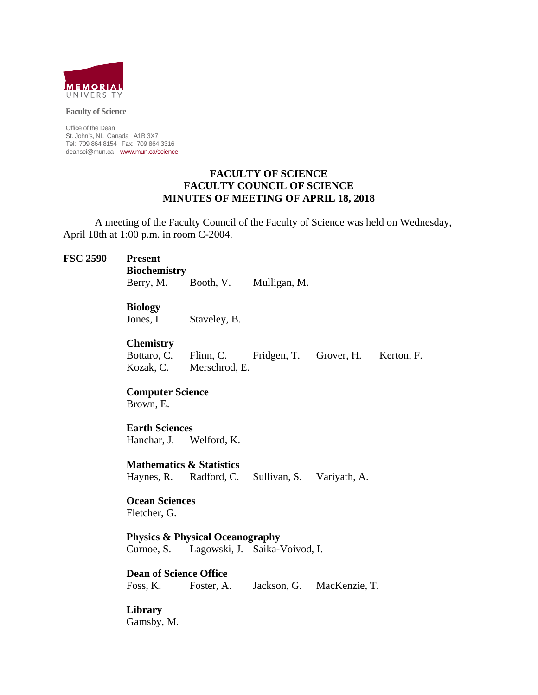

**Faculty of Science** 

Office of the Dean St. John's, NL Canada A1B 3X7 Tel: 709 864 8154 Fax: 709 864 3316 deansci@mun.ca www.mun.ca/science

#### **FACULTY OF SCIENCE FACULTY COUNCIL OF SCIENCE MINUTES OF MEETING OF APRIL 18, 2018**

 A meeting of the Faculty Council of the Faculty of Science was held on Wednesday, April 18th at 1:00 p.m. in room C-2004.

#### **FSC 2590 Present**

 **Biochemistry** 

Berry, M. Booth, V. Mulligan, M.

**Biology** 

Jones, I. Staveley, B.

**Chemistry** 

Bottaro, C. Flinn, C. Fridgen, T. Grover, H. Kerton, F. Kozak, C. Merschrod, E.

#### **Computer Science** Brown, E.

 **Earth Sciences**  Hanchar, J. Welford, K.

 **Mathematics & Statistics** Haynes, R. Radford, C. Sullivan, S. Variyath, A.

 **Ocean Sciences**  Fletcher, G.

 **Physics & Physical Oceanography** Curnoe, S. Lagowski, J. Saika-Voivod, I.

 **Dean of Science Office** Foss, K. Foster, A. Jackson, G. MacKenzie, T.

**Library**  Gamsby, M.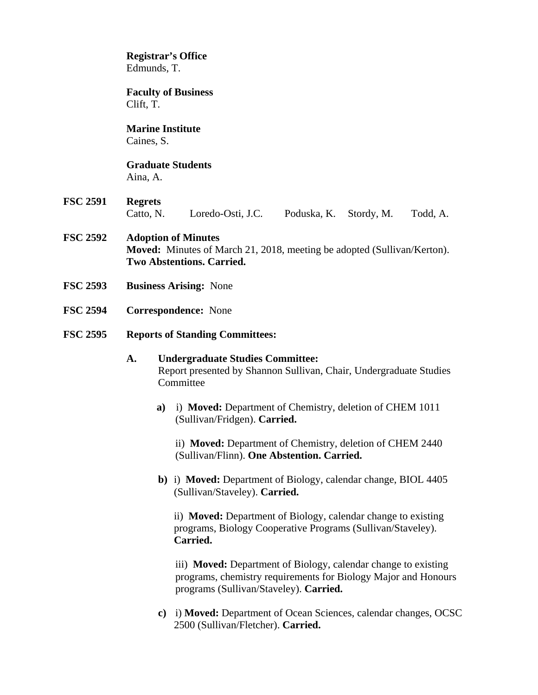# **Registrar's Office**  Edmunds, T.

 **Faculty of Business**  Clift, T.

# **Marine Institute**

Caines, S.

# **Graduate Students**

Aina, A.

- **FSC 2591 Regrets** Catto, N. Loredo-Osti, J.C. Poduska, K. Stordy, M. Todd, A.
- **FSC 2592 Adoption of Minutes Moved:** Minutes of March 21, 2018, meeting be adopted (Sullivan/Kerton). **Two Abstentions. Carried.**
- **FSC 2593 Business Arising:** None
- **FSC 2594 Correspondence:** None
- **FSC 2595 Reports of Standing Committees:**

# **A. Undergraduate Studies Committee:**  Report presented by Shannon Sullivan, Chair, Undergraduate Studies **Committee**

**a)** i) **Moved:** Department of Chemistry, deletion of CHEM 1011 (Sullivan/Fridgen). **Carried.**

ii) **Moved:** Department of Chemistry, deletion of CHEM 2440 (Sullivan/Flinn). **One Abstention. Carried.** 

**b)** i) **Moved:** Department of Biology, calendar change, BIOL 4405 (Sullivan/Staveley). **Carried.** 

ii) **Moved:** Department of Biology, calendar change to existing programs, Biology Cooperative Programs (Sullivan/Staveley). **Carried.** 

 iii) **Moved:** Department of Biology, calendar change to existing programs, chemistry requirements for Biology Major and Honours programs (Sullivan/Staveley). **Carried.** 

**c)** i) **Moved:** Department of Ocean Sciences, calendar changes, OCSC 2500 (Sullivan/Fletcher). **Carried.**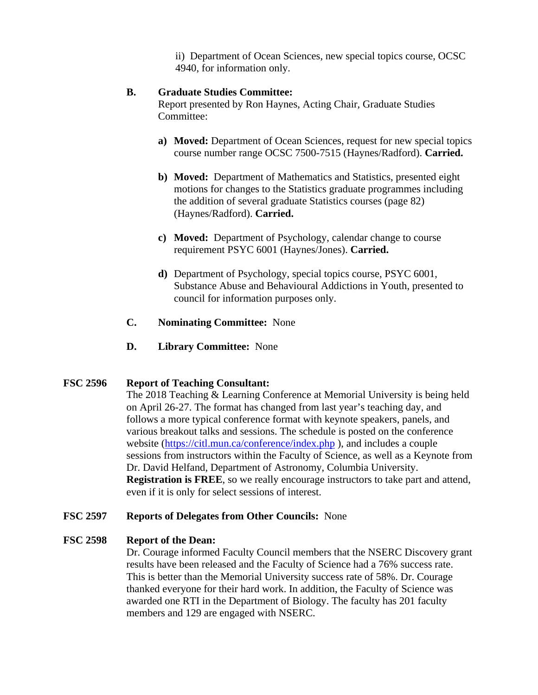ii) Department of Ocean Sciences, new special topics course, OCSC 4940, for information only.

#### **B. Graduate Studies Committee:**

Report presented by Ron Haynes, Acting Chair, Graduate Studies Committee:

- **a) Moved:** Department of Ocean Sciences, request for new special topics course number range OCSC 7500-7515 (Haynes/Radford). **Carried.**
- **b) Moved:** Department of Mathematics and Statistics, presented eight motions for changes to the Statistics graduate programmes including the addition of several graduate Statistics courses (page 82) (Haynes/Radford). **Carried.**
- **c) Moved:** Department of Psychology, calendar change to course requirement PSYC 6001 (Haynes/Jones). **Carried.**
- **d)** Department of Psychology, special topics course, PSYC 6001, Substance Abuse and Behavioural Addictions in Youth, presented to council for information purposes only.
- **C. Nominating Committee:** None
- **D. Library Committee:** None

# **FSC 2596 Report of Teaching Consultant:**

 The 2018 Teaching & Learning Conference at Memorial University is being held on April 26-27. The format has changed from last year's teaching day, and follows a more typical conference format with keynote speakers, panels, and various breakout talks and sessions. The schedule is posted on the conference website (https://citl.mun.ca/conference/index.php), and includes a couple sessions from instructors within the Faculty of Science, as well as a Keynote from Dr. David Helfand, Department of Astronomy, Columbia University. **Registration is FREE**, so we really encourage instructors to take part and attend, even if it is only for select sessions of interest.

#### **FSC 2597 Reports of Delegates from Other Councils:** None

#### **FSC 2598 Report of the Dean:**

 Dr. Courage informed Faculty Council members that the NSERC Discovery grant results have been released and the Faculty of Science had a 76% success rate. This is better than the Memorial University success rate of 58%. Dr. Courage thanked everyone for their hard work. In addition, the Faculty of Science was awarded one RTI in the Department of Biology. The faculty has 201 faculty members and 129 are engaged with NSERC.